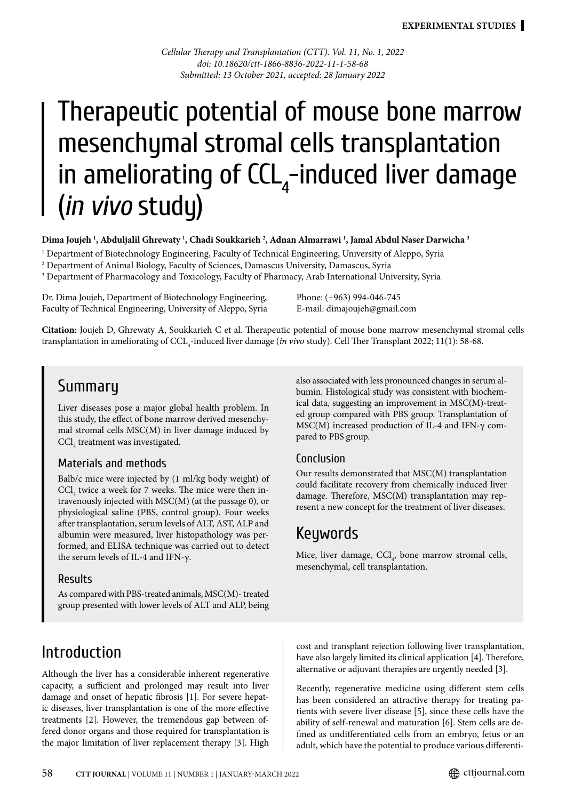*Cellular Therapy and Transplantation (CTT). Vol. 11, No. 1, 2022 doi: 10.18620/ctt-1866-8836-2022-11-1-58-68 Submitted: 13 October 2021, accepted: 28 January 2022*

# Therapeutic potential of mouse bone marrow mesenchymal stromal cells transplantation in ameliorating of  $CCL<sub>4</sub>$ -induced liver damage (*in vivo* study)

**Dima Joujeh 1 , Abduljalil Ghrewaty 1 , Chadi Soukkarieh 2 , Adnan Almarrawi 1 , Jamal Abdul Naser Darwicha 3**

1 Department of Biotechnology Engineering, Faculty of Technical Engineering, University of Aleppo, Syria 2 Department of Animal Biology, Faculty of Sciences, Damascus University, Damascus, Syria

 $\,{}^{3}$  Department of Pharmacology and Toxicology, Faculty of Pharmacy, Arab International University, Syria

Dr. Dima Joujeh, Department of Biotechnology Engineering, Faculty of Technical Engineering, University of Aleppo, Syria Phone: (+963) 994-046-745 E-mail: dimajoujeh@gmail.com

**Citation:** Joujeh D, Ghrewaty A, Soukkarieh C et al. Therapeutic potential of mouse bone marrow mesenchymal stromal cells transplantation in ameliorating of CCL<sub>4</sub>-induced liver damage (*in vivo* study). Cell Ther Transplant 2022; 11(1): 58-68.

## Summary

Liver diseases pose a major global health problem. In this study, the effect of bone marrow derived mesenchymal stromal cells MSC(M) in liver damage induced by  $\mathrm{CCl}_{_4}$  treatment was investigated.

#### Materials and methods

Balb/c mice were injected by (1 ml/kg body weight) of  $\text{CCl}_4$  twice a week for 7 weeks. The mice were then intravenously injected with MSC(M) (at the passage 0), or physiological saline (PBS, control group). Four weeks after transplantation, serum levels of ALT, AST, ALP and albumin were measured, liver histopathology was performed, and ELISA technique was carried out to detect the serum levels of IL-4 and IFN-γ.

#### Results

As compared with PBS-treated animals, MSC(M)- treated group presented with lower levels of ALT and ALP, being

# Introduction

Although the liver has a considerable inherent regenerative capacity, a sufficient and prolonged may result into liver damage and onset of hepatic fibrosis [1]. For severe hepatic diseases, liver transplantation is one of the more effective treatments [2]. However, the tremendous gap between offered donor organs and those required for transplantation is the major limitation of liver replacement therapy [3]. High also associated with less pronounced changes in serum albumin. Histological study was consistent with biochemical data, suggesting an improvement in MSC(M)-treated group compared with PBS group. Transplantation of MSC(M) increased production of IL-4 and IFN-γ compared to PBS group.

#### Conclusion

Our results demonstrated that MSC(M) transplantation could facilitate recovery from chemically induced liver damage. Therefore, MSC(M) transplantation may represent a new concept for the treatment of liver diseases.

# Keywords

Mice, liver damage,  $\text{CCl}_4$ , bone marrow stromal cells, mesenchymal, cell transplantation.

cost and transplant rejection following liver transplantation, have also largely limited its clinical application [4]. Therefore, alternative or adjuvant therapies are urgently needed [3].

Recently, regenerative medicine using different stem cells has been considered an attractive therapy for treating patients with severe liver disease [5], since these cells have the ability of self-renewal and maturation [6]. Stem cells are defined as undifferentiated cells from an embryo, fetus or an adult, which have the potential to produce various differenti-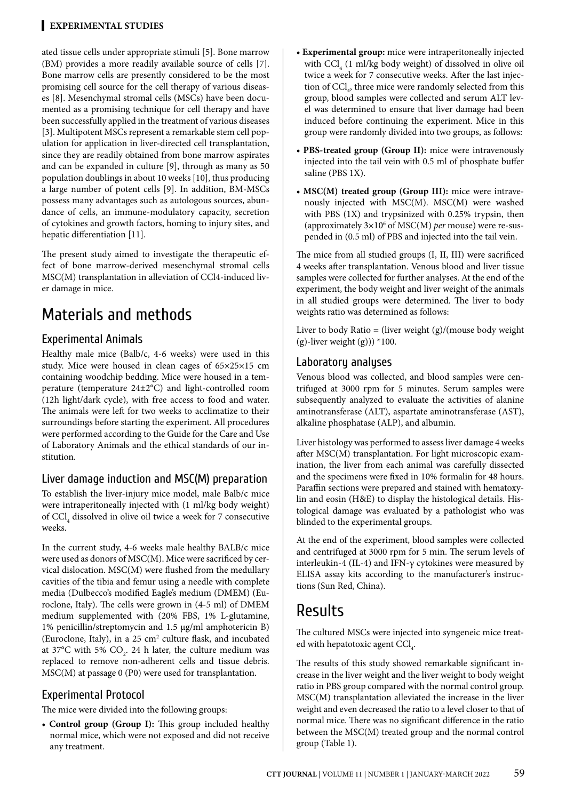ated tissue cells under appropriate stimuli [5]. Bone marrow (BM) provides a more readily available source of cells [7]. Bone marrow cells are presently considered to be the most promising cell source for the cell therapy of various diseases [8]. Mesenchymal stromal cells (MSCs) have been documented as a promising technique for cell therapy and have been successfully applied in the treatment of various diseases [3]. Multipotent MSCs represent a remarkable stem cell population for application in liver-directed cell transplantation, since they are readily obtained from bone marrow aspirates and can be expanded in culture [9], through as many as 50 population doublings in about 10 weeks [10], thus producing a large number of potent cells [9]. In addition, BM-MSCs possess many advantages such as autologous sources, abundance of cells, an immune-modulatory capacity, secretion of cytokines and growth factors, homing to injury sites, and hepatic differentiation [11].

The present study aimed to investigate the therapeutic effect of bone marrow-derived mesenchymal stromal cells MSC(M) transplantation in alleviation of CCl4-induced liver damage in mice.

# Materials and methods

#### Experimental Animals

Healthy male mice (Balb/c, 4-6 weeks) were used in this study. Mice were housed in clean cages of 65×25×15 cm containing woodchip bedding. Mice were housed in a temperature (temperature 24±2°C) and light-controlled room (12h light/dark cycle), with free access to food and water. The animals were left for two weeks to acclimatize to their surroundings before starting the experiment. All procedures were performed according to the Guide for the Care and Use of Laboratory Animals and the ethical standards of our institution.

#### Liver damage induction and MSC(M) preparation

To establish the liver-injury mice model, male Balb/c mice were intraperitoneally injected with (1 ml/kg body weight) of CCl<sub>4</sub> dissolved in olive oil twice a week for 7 consecutive weeks.

In the current study, 4-6 weeks male healthy BALB/c mice were used as donors of MSC(M). Mice were sacrificed by cervical dislocation. MSC(M) were flushed from the medullary cavities of the tibia and femur using a needle with complete media (Dulbecco's modified Eagle's medium (DMEM) (Euroclone, Italy). The cells were grown in (4-5 ml) of DMEM medium supplemented with (20% FBS, 1% L-glutamine, 1% penicillin/streptomycin and 1.5 µg/ml amphotericin B) (Euroclone, Italy), in a  $25 \text{ cm}^2$  culture flask, and incubated at 37°C with 5%  $CO<sub>2</sub>$ . 24 h later, the culture medium was replaced to remove non-adherent cells and tissue debris. MSC(M) at passage 0 (P0) were used for transplantation.

#### Experimental Protocol

The mice were divided into the following groups:

**• Control group (Group I):** This group included healthy normal mice, which were not exposed and did not receive any treatment.

- **Experimental group:** mice were intraperitoneally injected with  $\text{CCI}_4$  (1 ml/kg body weight) of dissolved in olive oil twice a week for 7 consecutive weeks. After the last injection of  $\text{CCl}_4$ , three mice were randomly selected from this group, blood samples were collected and serum ALT level was determined to ensure that liver damage had been induced before continuing the experiment. Mice in this group were randomly divided into two groups, as follows:
- **PBS-treated group (Group II):** mice were intravenously injected into the tail vein with 0.5 ml of phosphate buffer saline (PBS 1X).
- **MSC(M) treated group (Group III):** mice were intravenously injected with MSC(M). MSC(M) were washed with PBS (1X) and trypsinized with 0.25% trypsin, then (approximately 3×10<sup>6</sup> of MSC(M) *per* mouse) were re-suspended in (0.5 ml) of PBS and injected into the tail vein.

The mice from all studied groups (I, II, III) were sacrificed 4 weeks after transplantation. Venous blood and liver tissue samples were collected for further analyses. At the end of the experiment, the body weight and liver weight of the animals in all studied groups were determined. The liver to body weights ratio was determined as follows:

Liver to body Ratio = (liver weight  $(g)/($  mouse body weight (g)-liver weight (g)))  $*100$ .

#### Laboratory analyses

Venous blood was collected, and blood samples were centrifuged at 3000 rpm for 5 minutes. Serum samples were subsequently analyzed to evaluate the activities of alanine aminotransferase (ALT), aspartate aminotransferase (AST), alkaline phosphatase (ALP), and albumin.

Liver histology was performed to assess liver damage 4 weeks after MSC(M) transplantation. For light microscopic examination, the liver from each animal was carefully dissected and the specimens were fixed in 10% formalin for 48 hours. Paraffin sections were prepared and stained with hematoxylin and eosin (H&E) to display the histological details. Histological damage was evaluated by a pathologist who was blinded to the experimental groups.

At the end of the experiment, blood samples were collected and centrifuged at 3000 rpm for 5 min. The serum levels of interleukin-4 (IL-4) and IFN-γ cytokines were measured by ELISA assay kits according to the manufacturer's instructions (Sun Red, China).

# Results

The cultured MSCs were injected into syngeneic mice treated with hepatotoxic agent  $\text{CCl}_4$ .

The results of this study showed remarkable significant increase in the liver weight and the liver weight to body weight ratio in PBS group compared with the normal control group. MSC(M) transplantation alleviated the increase in the liver weight and even decreased the ratio to a level closer to that of normal mice. There was no significant difference in the ratio between the MSC(M) treated group and the normal control group (Table 1).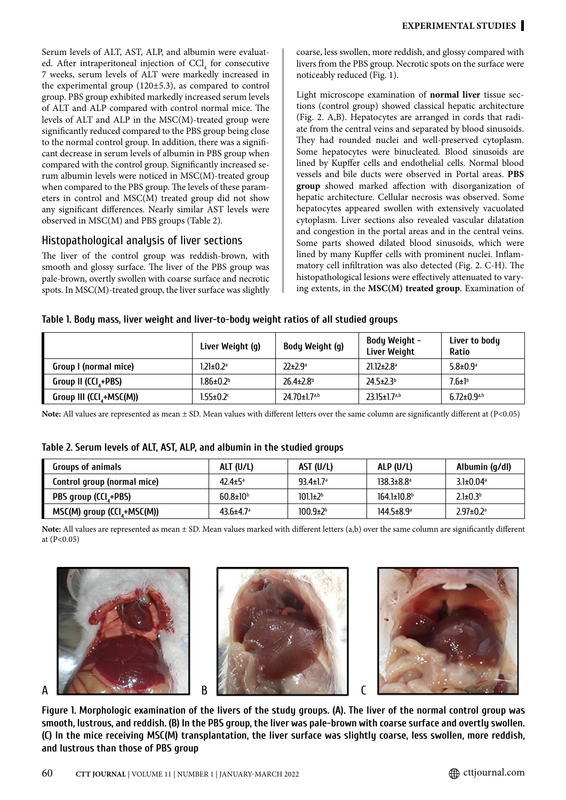Serum levels of ALT, AST, ALP, and albumin were evaluated. After intraperitoneal injection of  $\text{CCI}_4$  for consecutive 7 weeks, serum levels of ALT were markedly increased in the experimental group (120±5.3), as compared to control group. PBS group exhibited markedly increased serum levels of ALT and ALP compared with control normal mice. The levels of ALT and ALP in the MSC(M)-treated group were significantly reduced compared to the PBS group being close to the normal control group. In addition, there was a significant decrease in serum levels of albumin in PBS group when compared with the control group. Significantly increased serum albumin levels were noticed in MSC(M)-treated group when compared to the PBS group. The levels of these parameters in control and MSC(M) treated group did not show any significant differences. Nearly similar AST levels were observed in MSC(M) and PBS groups (Table 2).

#### Histopathological analysis of liver sections

The liver of the control group was reddish-brown, with smooth and glossy surface. The liver of the PBS group was pale-brown, overtly swollen with coarse surface and necrotic spots. In MSC(M)-treated group, the liver surface was slightly coarse, less swollen, more reddish, and glossy compared with livers from the PBS group. Necrotic spots on the surface were noticeably reduced (Fig. 1).

Light microscope examination of **normal liver** tissue sections (control group) showed classical hepatic architecture (Fig. 2. A,B). Hepatocytes are arranged in cords that radiate from the central veins and separated by blood sinusoids. They had rounded nuclei and well-preserved cytoplasm. Some hepatocytes were binucleated. Blood sinusoids are lined by Kupffer cells and endothelial cells. Normal blood vessels and bile ducts were observed in Portal areas. **PBS group** showed marked affection with disorganization of hepatic architecture. Cellular necrosis was observed. Some hepatocytes appeared swollen with extensively vacuolated cytoplasm. Liver sections also revealed vascular dilatation and congestion in the portal areas and in the central veins. Some parts showed dilated blood sinusoids, which were lined by many Kupffer cells with prominent nuclei. Inflammatory cell infiltration was also detected (Fig. 2. C-H). The histopathological lesions were effectively attenuated to varying extents, in the **MSC(M) treated group**. Examination of

#### **Table 1. Body mass, liver weight and liver-to-body weight ratios of all studied groups**

|                                      | Liver Weight (g)            | Body Weight (g)                | Body Weight -<br>Liver Weight  | Liver to body<br>Ratio        |
|--------------------------------------|-----------------------------|--------------------------------|--------------------------------|-------------------------------|
| Group I (normal mice)                | $1.21 \pm 0.2$ <sup>a</sup> | $22 \pm 2.9^{\circ}$           | $21.12 \pm 2.8$ <sup>a</sup>   | $5.8 \pm 0.9^{\circ}$         |
| Group II (CCI <sub>4</sub> +PBS)     | $1.86 \pm 0.2$ <sup>b</sup> | $26.4 \pm 2.8$ <sup>b</sup>    | $24.5 \pm 2.3$ <sup>b</sup>    | $7.6 \pm 1$ <sup>b</sup>      |
| Group III (CCI <sub>4</sub> +MSC(M)) | $1.55 \pm 0.2$              | $24.70 \pm 1.7$ <sup>a,b</sup> | $23.15 \pm 1.7$ <sup>a,b</sup> | $6.72 \pm 0.9$ <sup>a,b</sup> |

Note: All values are represented as mean  $\pm$  SD. Mean values with different letters over the same column are significantly different at (P<0.05)

#### **Table 2. Serum levels of ALT, AST, ALP, and albumin in the studied groups**

| <b>Groups of animals</b>                  | ALT $(U/L)$                 | AST (U/L)                   | ALP (U/L)                    | Albumin (g/dl)              |
|-------------------------------------------|-----------------------------|-----------------------------|------------------------------|-----------------------------|
| Control group (normal mice)               | $42.4 \pm 5^{\circ}$        | $93.4 \pm 1.7$ <sup>a</sup> | $138.3 \pm 8.8$ <sup>a</sup> | $3.1\pm0.04$ <sup>a</sup>   |
| PBS group (CCI <sub>4</sub> +PBS)         | $60.8 \pm 10^{6}$           | $101.1 \pm 2^{b}$           | $164.1 \pm 10.8$             | $2.1 \pm 0.3$ <sup>b</sup>  |
| $MSC(M)$ group (CCI <sub>4</sub> +MSC(M)) | $43.6 \pm 4.7$ <sup>a</sup> | $100.9{\pm}2^{b}$           | $144.5 \pm 8.9$ <sup>a</sup> | $2.97 \pm 0.2$ <sup>a</sup> |

**Note:** All values are represented as mean ± SD. Mean values marked with different letters (a,b) over the same column are significantly different at  $(P<0.05)$ 







**Figure 1. Morphologic examination of the livers of the study groups. (A). The liver of the normal control group was smooth, lustrous, and reddish. (B) In the PBS group, the liver was pale-brown with coarse surface and overtly swollen. (C) In the mice receiving MSC(M) transplantation, the liver surface was slightly coarse, less swollen, more reddish, and lustrous than those of PBS group**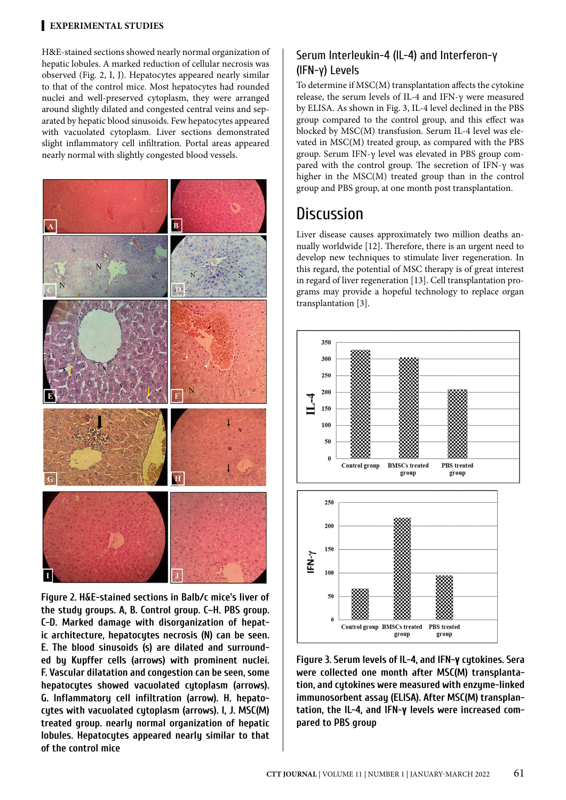H&E-stained sections showed nearly normal organization of hepatic lobules. A marked reduction of cellular necrosis was observed (Fig. 2, I, J). Hepatocytes appeared nearly similar to that of the control mice. Most hepatocytes had rounded nuclei and well-preserved cytoplasm, they were arranged around slightly dilated and congested central veins and separated by hepatic blood sinusoids. Few hepatocytes appeared with vacuolated cytoplasm. Liver sections demonstrated slight inflammatory cell infiltration. Portal areas appeared nearly normal with slightly congested blood vessels.



**Figure 2. H&E-stained sections in Balb/c mice's liver of the study groups. A, B. Control group. C–H. PBS group. C-D. Marked damage with disorganization of hepatic architecture, hepatocytes necrosis (N) can be seen. E. The blood sinusoids (s) are dilated and surrounded by Kupffer cells (arrows) with prominent nuclei. F. Vascular dilatation and congestion can be seen, some hepatocytes showed vacuolated cytoplasm (arrows). G. Inflammatory cell infiltration (arrow). H. hepatocytes with vacuolated cytoplasm (arrows). I, J. MSC(M) treated group. nearly normal organization of hepatic lobules. Hepatocytes appeared nearly similar to that of the control mice**

#### Serum Interleukin-4 (IL-4) and Interferon-γ (IFN-γ) Levels

To determine if MSC(M) transplantation affects the cytokine release, the serum levels of IL-4 and IFN-γ were measured by ELISA. As shown in Fig. 3, IL-4 level declined in the PBS group compared to the control group, and this effect was blocked by MSC(M) transfusion. Serum IL-4 level was elevated in MSC(M) treated group, as compared with the PBS group. Serum IFN-γ level was elevated in PBS group compared with the control group. The secretion of IFN- $\gamma$  was higher in the MSC(M) treated group than in the control group and PBS group, at one month post transplantation.

## **Discussion**

Liver disease causes approximately two million deaths annually worldwide [12]. Therefore, there is an urgent need to develop new techniques to stimulate liver regeneration. In this regard, the potential of MSC therapy is of great interest in regard of liver regeneration [13]. Cell transplantation programs may provide a hopeful technology to replace organ transplantation [3].



**Figure 3. Serum levels of IL-4, and IFN-γ cytokines. Sera were collected one month after MSC(M) transplantation, and cytokines were measured with enzyme-linked immunosorbent assay (ELISA). After MSC(M) transplantation, the IL-4, and IFN-γ levels were increased compared to PBS group**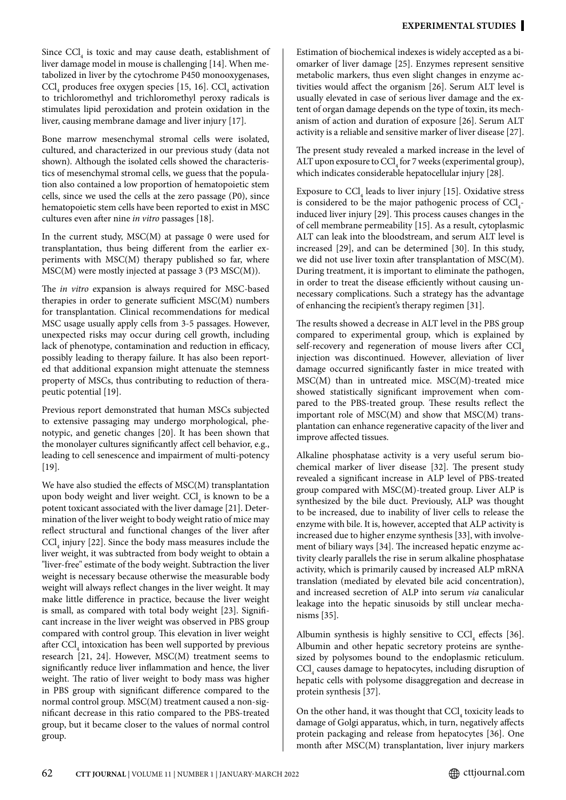Since  $\text{CCl}_4$  is toxic and may cause death, establishment of liver damage model in mouse is challenging [14]. When metabolized in liver by the cytochrome P450 monooxygenases,  $\text{CCl}_4$  produces free oxygen species [15, 16].  $\text{CCl}_4$  activation to trichloromethyl and trichloromethyl peroxy radicals is stimulates lipid peroxidation and protein oxidation in the liver, causing membrane damage and liver injury [17].

Bone marrow mesenchymal stromal cells were isolated, cultured, and characterized in our previous study (data not shown). Although the isolated cells showed the characteristics of mesenchymal stromal cells, we guess that the population also contained a low proportion of hematopoietic stem cells, since we used the cells at the zero passage (P0), since hematopoietic stem cells have been reported to exist in MSC cultures even after nine *in vitro* passages [18].

In the current study,  $MSC(M)$  at passage 0 were used for transplantation, thus being different from the earlier experiments with MSC(M) therapy published so far, where MSC(M) were mostly injected at passage 3 (P3 MSC(M)).

The *in vitro* expansion is always required for MSC-based therapies in order to generate sufficient MSC(M) numbers for transplantation. Clinical recommendations for medical MSC usage usually apply cells from 3-5 passages. However, unexpected risks may occur during cell growth, including lack of phenotype, contamination and reduction in efficacy, possibly leading to therapy failure. It has also been reported that additional expansion might attenuate the stemness property of MSCs, thus contributing to reduction of therapeutic potential [19].

Previous report demonstrated that human MSCs subjected to extensive passaging may undergo morphological, phenotypic, and genetic changes [20]. It has been shown that the monolayer cultures significantly affect cell behavior, e.g., leading to cell senescence and impairment of multi-potency [19].

We have also studied the effects of MSC(M) transplantation upon body weight and liver weight.  $\text{CCl}_{\scriptscriptstyle 4}$  is known to be a potent toxicant associated with the liver damage [21]. Determination of the liver weight to body weight ratio of mice may reflect structural and functional changes of the liver after  $\text{CCl}_4$  injury [22]. Since the body mass measures include the liver weight, it was subtracted from body weight to obtain a "liver-free" estimate of the body weight. Subtraction the liver weight is necessary because otherwise the measurable body weight will always reflect changes in the liver weight. It may make little difference in practice, because the liver weight is small, as compared with total body weight [23]. Significant increase in the liver weight was observed in PBS group compared with control group. This elevation in liver weight after  $\mathrm{CCl}_{_4}$  intoxication has been well supported by previous research [21, 24]. However, MSC(M) treatment seems to significantly reduce liver inflammation and hence, the liver weight. The ratio of liver weight to body mass was higher in PBS group with significant difference compared to the normal control group. MSC(M) treatment caused a non-significant decrease in this ratio compared to the PBS-treated group, but it became closer to the values of normal control group.

Estimation of biochemical indexes is widely accepted as a biomarker of liver damage [25]. Enzymes represent sensitive metabolic markers, thus even slight changes in enzyme activities would affect the organism [26]. Serum ALT level is usually elevated in case of serious liver damage and the extent of organ damage depends on the type of toxin, its mechanism of action and duration of exposure [26]. Serum ALT activity is a reliable and sensitive marker of liver disease [27].

The present study revealed a marked increase in the level of ALT upon exposure to  $\text{CCl}_4$  for 7 weeks (experimental group), which indicates considerable hepatocellular injury [28].

Exposure to  $\text{CCl}_4$  leads to liver injury [15]. Oxidative stress is considered to be the major pathogenic process of  $\text{CCl}_4$ induced liver injury [29]. This process causes changes in the of cell membrane permeability [15]. As a result, cytoplasmic ALT can leak into the bloodstream, and serum ALT level is increased [29], and can be determined [30]. In this study, we did not use liver toxin after transplantation of MSC(M). During treatment, it is important to eliminate the pathogen, in order to treat the disease efficiently without causing unnecessary complications. Such a strategy has the advantage of enhancing the recipient's therapy regimen [31].

The results showed a decrease in ALT level in the PBS group compared to experimental group, which is explained by self-recovery and regeneration of mouse livers after CCl. injection was discontinued. However, alleviation of liver damage occurred significantly faster in mice treated with MSC(M) than in untreated mice. MSC(M)-treated mice showed statistically significant improvement when compared to the PBS-treated group. These results reflect the important role of MSC(M) and show that MSC(M) transplantation can enhance regenerative capacity of the liver and improve affected tissues.

Alkaline phosphatase activity is a very useful serum biochemical marker of liver disease [32]. The present study revealed a significant increase in ALP level of PBS-treated group compared with MSC(M)-treated group. Liver ALP is synthesized by the bile duct. Previously, ALP was thought to be increased, due to inability of liver cells to release the enzyme with bile. It is, however, accepted that ALP activity is increased due to higher enzyme synthesis [33], with involvement of biliary ways [34]. The increased hepatic enzyme activity clearly parallels the rise in serum alkaline phosphatase activity, which is primarily caused by increased ALP mRNA translation (mediated by elevated bile acid concentration), and increased secretion of ALP into serum *via* canalicular leakage into the hepatic sinusoids by still unclear mechanisms [35].

Albumin synthesis is highly sensitive to  $\text{CCl}_4$  effects [36]. Albumin and other hepatic secretory proteins are synthesized by polysomes bound to the endoplasmic reticulum.  $\mathrm{CCl}_4$  causes damage to hepatocytes, including disruption of hepatic cells with polysome disaggregation and decrease in protein synthesis [37].

On the other hand, it was thought that  $\text{CCI}_4$  toxicity leads to damage of Golgi apparatus, which, in turn, negatively affects protein packaging and release from hepatocytes [36]. One month after MSC(M) transplantation, liver injury markers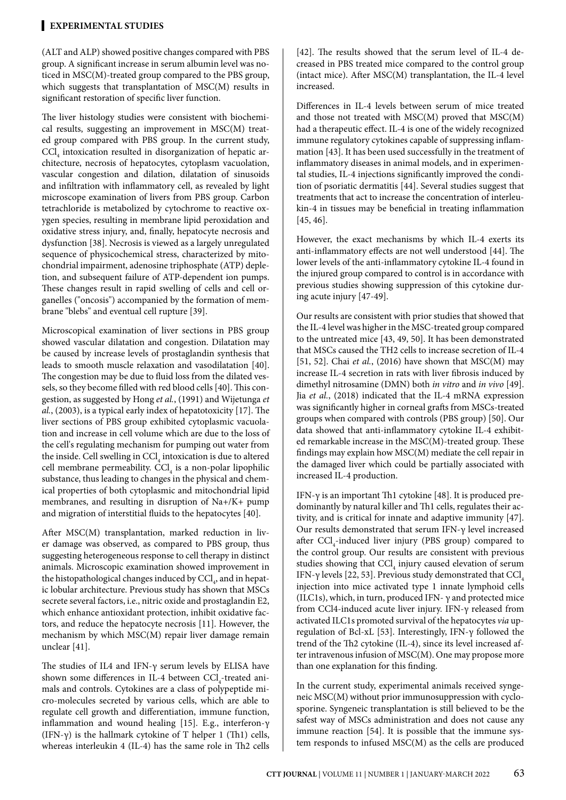(ALT and ALP) showed positive changes compared with PBS group. A significant increase in serum albumin level was noticed in MSC(M)-treated group compared to the PBS group, which suggests that transplantation of MSC(M) results in significant restoration of specific liver function.

The liver histology studies were consistent with biochemical results, suggesting an improvement in MSC(M) treated group compared with PBS group. In the current study,  $\mathrm{CCl}_{4}$  intoxication resulted in disorganization of hepatic architecture, necrosis of hepatocytes, cytoplasm vacuolation, vascular congestion and dilation, dilatation of sinusoids and infiltration with inflammatory cell, as revealed by light microscope examination of livers from PBS group. Carbon tetrachloride is metabolized by cytochrome to reactive oxygen species, resulting in membrane lipid peroxidation and oxidative stress injury, and, finally, hepatocyte necrosis and dysfunction [38]. Necrosis is viewed as a largely unregulated sequence of physicochemical stress, characterized by mitochondrial impairment, adenosine triphosphate (ATP) depletion, and subsequent failure of ATP-dependent ion pumps. These changes result in rapid swelling of cells and cell organelles ("oncosis") accompanied by the formation of membrane "blebs" and eventual cell rupture [39].

Microscopical examination of liver sections in PBS group showed vascular dilatation and congestion. Dilatation may be caused by increase levels of prostaglandin synthesis that leads to smooth muscle relaxation and vasodilatation [40]. The congestion may be due to fluid loss from the dilated vessels, so they become filled with red blood cells [40]. This congestion, as suggested by Hong *et al.*, (1991) and Wijetunga *et al.*, (2003), is a typical early index of hepatotoxicity [17]. The liver sections of PBS group exhibited cytoplasmic vacuolation and increase in cell volume which are due to the loss of the cell's regulating mechanism for pumping out water from the inside. Cell swelling in  $\mathrm{CCl}_4$  intoxication is due to altered cell membrane permeability.  $\text{CCl}_4$  is a non-polar lipophilic substance, thus leading to changes in the physical and chemical properties of both cytoplasmic and mitochondrial lipid membranes, and resulting in disruption of Na+/K+ pump and migration of interstitial fluids to the hepatocytes [40].

After MSC(M) transplantation, marked reduction in liver damage was observed, as compared to PBS group, thus suggesting heterogeneous response to cell therapy in distinct animals. Microscopic examination showed improvement in the histopathological changes induced by  $\mathrm{CCl}_{4}$ , and in hepatic lobular architecture. Previous study has shown that MSCs secrete several factors, i.e., nitric oxide and prostaglandin E2, which enhance antioxidant protection, inhibit oxidative factors, and reduce the hepatocyte necrosis [11]. However, the mechanism by which MSC(M) repair liver damage remain unclear [41].

The studies of IL4 and IFN-γ serum levels by ELISA have shown some differences in IL-4 between  $\text{CCl}_{\text{4}}\text{-}$ treated animals and controls. Cytokines are a class of polypeptide micro-molecules secreted by various cells, which are able to regulate cell growth and differentiation, immune function, inflammation and wound healing [15]. E.g., interferon-γ (IFN- $\gamma$ ) is the hallmark cytokine of T helper 1 (Th1) cells, whereas interleukin 4 (IL-4) has the same role in Th2 cells [42]. The results showed that the serum level of IL-4 decreased in PBS treated mice compared to the control group (intact mice). After MSC(M) transplantation, the IL-4 level increased.

Differences in IL-4 levels between serum of mice treated and those not treated with MSC(M) proved that MSC(M) had a therapeutic effect. IL-4 is one of the widely recognized immune regulatory cytokines capable of suppressing inflammation [43]. It has been used successfully in the treatment of inflammatory diseases in animal models, and in experimental studies, IL-4 injections significantly improved the condition of psoriatic dermatitis [44]. Several studies suggest that treatments that act to increase the concentration of interleukin-4 in tissues may be beneficial in treating inflammation [45, 46].

However, the exact mechanisms by which IL-4 exerts its anti-inflammatory effects are not well understood [44]. The lower levels of the anti-inflammatory cytokine IL-4 found in the injured group compared to control is in accordance with previous studies showing suppression of this cytokine during acute injury [47-49].

Our results are consistent with prior studies that showed that the IL-4 level was higher in the MSC-treated group compared to the untreated mice [43, 49, 50]. It has been demonstrated that MSCs caused the TH2 cells to increase secretion of IL-4 [51, 52]. Chai *et al.*, (2016) have shown that MSC(M) may increase IL-4 secretion in rats with liver fibrosis induced by dimethyl nitrosamine (DMN) both *in vitro* and *in vivo* [49]. Jia *et al.*, (2018) indicated that the IL-4 mRNA expression was significantly higher in corneal grafts from MSCs-treated groups when compared with controls (PBS group) [50]. Our data showed that anti-inflammatory cytokine IL-4 exhibited remarkable increase in the MSC(M)-treated group. These findings may explain how MSC(M) mediate the cell repair in the damaged liver which could be partially associated with increased IL-4 production.

IFN-γ is an important Th1 cytokine [48]. It is produced predominantly by natural killer and Th1 cells, regulates their activity, and is critical for innate and adaptive immunity [47]. Our results demonstrated that serum IFN-γ level increased after  $\text{CCl}_4$ -induced liver injury (PBS group) compared to the control group. Our results are consistent with previous studies showing that  $\mathrm{CCl}_{4}$  injury caused elevation of serum IFN-γ levels [22, 53]. Previous study demonstrated that CCl injection into mice activated type 1 innate lymphoid cells (ILC1s), which, in turn, produced IFN- $\gamma$  and protected mice from CCl4-induced acute liver injury. IFN-γ released from activated ILC1s promoted survival of the hepatocytes *via* upregulation of Bcl-xL [53]. Interestingly, IFN-γ followed the trend of the Th2 cytokine (IL-4), since its level increased after intravenous infusion of MSC(M). One may propose more than one explanation for this finding.

In the current study, experimental animals received syngeneic MSC(M) without prior immunosuppression with cyclosporine. Syngeneic transplantation is still believed to be the safest way of MSCs administration and does not cause any immune reaction [54]. It is possible that the immune system responds to infused MSC(M) as the cells are produced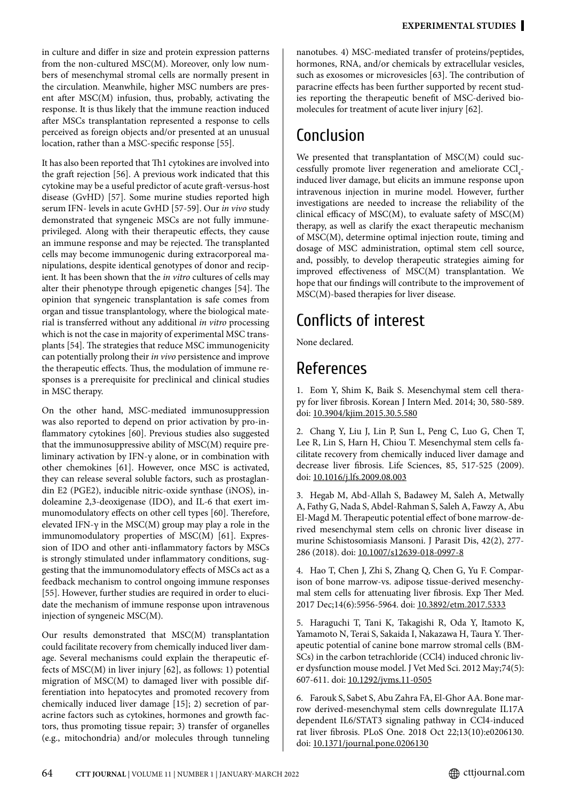in culture and differ in size and protein expression patterns from the non-cultured MSC(M). Moreover, only low numbers of mesenchymal stromal cells are normally present in the circulation. Meanwhile, higher MSC numbers are present after MSC(M) infusion, thus, probably, activating the response. It is thus likely that the immune reaction induced after MSCs transplantation represented a response to cells perceived as foreign objects and/or presented at an unusual location, rather than a MSC-specific response [55].

It has also been reported that Th1 cytokines are involved into the graft rejection [56]. A previous work indicated that this cytokine may be a useful predictor of acute graft-versus-host disease (GvHD) [57]. Some murine studies reported high serum IFN- levels in acute GvHD [57-59]. Our *in vivo* study demonstrated that syngeneic MSCs are not fully immuneprivileged. Along with their therapeutic effects, they cause an immune response and may be rejected. The transplanted cells may become immunogenic during extracorporeal manipulations, despite identical genotypes of donor and recipient. It has been shown that the *in vitro* cultures of cells may alter their phenotype through epigenetic changes [54]. The opinion that syngeneic transplantation is safe comes from organ and tissue transplantology, where the biological material is transferred without any additional *in vitro* processing which is not the case in majority of experimental MSC transplants [54]. The strategies that reduce MSC immunogenicity can potentially prolong their *in vivo* persistence and improve the therapeutic effects. Thus, the modulation of immune responses is a prerequisite for preclinical and clinical studies in MSC therapy.

On the other hand, MSC-mediated immunosuppression was also reported to depend on prior activation by pro-inflammatory cytokines [60]. Previous studies also suggested that the immunosuppressive ability of MSC(M) require preliminary activation by IFN-γ alone, or in combination with other chemokines [61]. However, once MSC is activated, they can release several soluble factors, such as prostaglandin E2 (PGE2), inducible nitric-oxide synthase (iNOS), indoleamine 2,3-deoxigenase (IDO), and IL-6 that exert immunomodulatory effects on other cell types [60]. Therefore, elevated IFN- $\gamma$  in the MSC(M) group may play a role in the immunomodulatory properties of MSC(M) [61]. Expression of IDO and other anti-inflammatory factors by MSCs is strongly stimulated under inflammatory conditions, suggesting that the immunomodulatory effects of MSCs act as a feedback mechanism to control ongoing immune responses [55]. However, further studies are required in order to elucidate the mechanism of immune response upon intravenous injection of syngeneic MSC(M).

Our results demonstrated that MSC(M) transplantation could facilitate recovery from chemically induced liver damage. Several mechanisms could explain the therapeutic effects of MSC(M) in liver injury [62], as follows: 1) potential migration of MSC(M) to damaged liver with possible differentiation into hepatocytes and promoted recovery from chemically induced liver damage [15]; 2) secretion of paracrine factors such as cytokines, hormones and growth factors, thus promoting tissue repair; 3) transfer of organelles (e.g., mitochondria) and/or molecules through tunneling nanotubes. 4) MSC-mediated transfer of proteins/peptides, hormones, RNA, and/or chemicals by extracellular vesicles, such as exosomes or microvesicles [63]. The contribution of paracrine effects has been further supported by recent studies reporting the therapeutic benefit of MSC-derived biomolecules for treatment of acute liver injury [62].

# Conclusion

We presented that transplantation of MSC(M) could successfully promote liver regeneration and ameliorate  $\text{CCl}_4$ induced liver damage, but elicits an immune response upon intravenous injection in murine model. However, further investigations are needed to increase the reliability of the clinical efficacy of MSC(M), to evaluate safety of MSC(M) therapy, as well as clarify the exact therapeutic mechanism of MSC(M), determine optimal injection route, timing and dosage of MSC administration, optimal stem cell source, and, possibly, to develop therapeutic strategies aiming for improved effectiveness of MSC(M) transplantation. We hope that our findings will contribute to the improvement of MSC(M)-based therapies for liver disease.

# Conflicts of interest

None declared.

# References

1. Eom Y, Shim K, Baik S. Mesenchymal stem cell therapy for liver fibrosis. Korean J Intern Med. 2014; 30, 580-589. doi: [10.3904/kjim.2015.30.5.580](http://doi.org/10.3904/kjim.2015.30.5.580)

2. Chang Y, Liu J, Lin P, Sun L, Peng C, Luo G, Chen T, Lee R, Lin S, Harn H, Chiou T. Mesenchymal stem cells facilitate recovery from chemically induced liver damage and decrease liver fibrosis. Life Sciences, 85, 517-525 (2009). doi: [10.1016/j.lfs.2009.08.003](http://doi.org/10.1016/j.lfs.2009.08.003)

3. Hegab M, Abd-Allah S, Badawey M, Saleh A, Metwally A, Fathy G, Nada S, Abdel-Rahman S, Saleh A, Fawzy A, Abu El-Magd M. Therapeutic potential effect of bone marrow-derived mesenchymal stem cells on chronic liver disease in murine Schistosomiasis Mansoni. J Parasit Dis, 42(2), 277- 286 (2018). doi: [10.1007/s12639-018-0997-8](http://doi.org/10.1007/s12639-018-0997-8)

4. Hao T, Chen J, Zhi S, Zhang Q, Chen G, Yu F. Comparison of bone marrow-vs. adipose tissue-derived mesenchymal stem cells for attenuating liver fibrosis. Exp Ther Med. 2017 Dec;14(6):5956-5964. doi: [10.3892/etm.2017.5333](http://doi.org/10.3892/etm.2017.5333)

5. Haraguchi T, Tani K, Takagishi R, Oda Y, Itamoto K, Yamamoto N, Terai S, Sakaida I, Nakazawa H, Taura Y. Therapeutic potential of canine bone marrow stromal cells (BM-SCs) in the carbon tetrachloride (CCl4) induced chronic liver dysfunction mouse model. J Vet Med Sci. 2012 May;74(5): 607-611. doi: [10.1292/jvms.11-0505](http://doi.org/10.1292/jvms.11-0505)

6. Farouk S, Sabet S, Abu Zahra FA, El-Ghor AA. Bone marrow derived-mesenchymal stem cells downregulate IL17A dependent IL6/STAT3 signaling pathway in CCl4-induced rat liver fibrosis. PLoS One. 2018 Oct 22;13(10):e0206130. doi: [10.1371/journal.pone.0206130](http://doi.org/10.1371/journal.pone.0206130)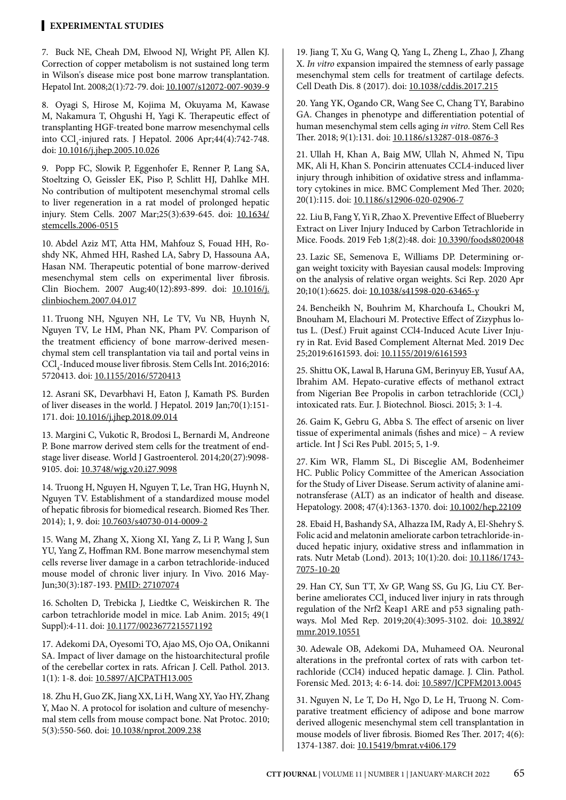7. Buck NE, Cheah DM, Elwood NJ, Wright PF, Allen KJ. Correction of copper metabolism is not sustained long term in Wilson's disease mice post bone marrow transplantation. Hepatol Int. 2008;2(1):72-79. doi: [10.1007/s12072-007-9039-9](http://doi.org/10.1007/s12072-007-9039-9)

8. Oyagi S, Hirose M, Kojima M, Okuyama M, Kawase M, Nakamura T, Ohgushi H, Yagi K. Therapeutic effect of transplanting HGF-treated bone marrow mesenchymal cells into  $\text{CCl}_4$ -injured rats. J Hepatol. 2006 Apr;44(4):742-748. doi: [10.1016/j.jhep.2005.10.026](http://doi.org/10.1016/j.jhep.2005.10.026)

9. Popp FC, Slowik P, Eggenhofer E, Renner P, Lang SA, Stoeltzing O, Geissler EK, Piso P, Schlitt HJ, Dahlke MH. No contribution of multipotent mesenchymal stromal cells to liver regeneration in a rat model of prolonged hepatic injury. Stem Cells. 2007 Mar;25(3):639-645. doi: [10.1634/](http://doi.org/10.1634/stemcells.2006-0515) [stemcells.2006-0515](http://doi.org/10.1634/stemcells.2006-0515)

10. Abdel Aziz MT, Atta HM, Mahfouz S, Fouad HH, Roshdy NK, Ahmed HH, Rashed LA, Sabry D, Hassouna AA, Hasan NM. Therapeutic potential of bone marrow-derived mesenchymal stem cells on experimental liver fibrosis. Clin Biochem. 2007 Aug;40(12):893-899. doi: [10.1016/j.](http://doi.org/10.1016/j.clinbiochem.2007.04.017) [clinbiochem.2007.04.017](http://doi.org/10.1016/j.clinbiochem.2007.04.017)

11. Truong NH, Nguyen NH, Le TV, Vu NB, Huynh N, Nguyen TV, Le HM, Phan NK, Pham PV. Comparison of the treatment efficiency of bone marrow-derived mesenchymal stem cell transplantation via tail and portal veins in  $\text{CCl}_4\text{-}\text{Induced mouse liver fibrosis. Stem Cells Int. }2016;2016;$ 5720413. doi: [10.1155/2016/5720413](http://doi.org/10.1155/2016/5720413)

12. Asrani SK, Devarbhavi H, Eaton J, Kamath PS. Burden of liver diseases in the world. J Hepatol. 2019 Jan;70(1):151- 171. doi: [10.1016/j.jhep.2018.09.014](http://doi.org/10.1016/j.jhep.2018.09.014)

13. Margini C, Vukotic R, Brodosi L, Bernardi M, Andreone P. Bone marrow derived stem cells for the treatment of endstage liver disease. World J Gastroenterol. 2014;20(27):9098- 9105. doi: [10.3748/wjg.v20.i27.9098](https://pubmed.ncbi.nlm.nih.gov/25083082/)

14. Truong H, Nguyen H, Nguyen T, Le, Tran HG, Huynh N, Nguyen TV. Establishment of a standardized mouse model of hepatic fibrosis for biomedical research. Biomed Res Ther. 2014); 1, 9. doi: [10.7603/s40730-014-0009-2](http://doi.org/10.7603/s40730-014-0009-2)

15. Wang M, Zhang X, Xiong XI, Yang Z, Li P, Wang J, Sun YU, Yang Z, Hoffman RM. Bone marrow mesenchymal stem cells reverse liver damage in a carbon tetrachloride-induced mouse model of chronic liver injury. In Vivo. 2016 May-Jun;30(3):187-193. [PMID: 27107074](https://pubmed.ncbi.nlm.nih.gov/27107074/)

16. Scholten D, Trebicka J, Liedtke C, Weiskirchen R. The carbon tetrachloride model in mice. Lab Anim. 2015; 49(1 Suppl):4-11. doi: [10.1177/0023677215571192](http://doi.org/10.1177/0023677215571192)

17. Adekomi DA, Oyesomi TO, Ajao MS, Ojo OA, Onikanni SA. Impact of liver damage on the histoarchitectural profile of the cerebellar cortex in rats. African J. Cell. Pathol. 2013. 1(1): 1-8. doi: [10.5897/AJCPATH13.005](http://doi.org/10.5897/AJCPATH13.005)

18. Zhu H, Guo ZK, Jiang XX, Li H, Wang XY, Yao HY, Zhang Y, Mao N. A protocol for isolation and culture of mesenchymal stem cells from mouse compact bone. Nat Protoc. 2010; 5(3):550-560. doi: [10.1038/nprot.2009.238](http://doi.org/10.1038/nprot.2009.238)

19. Jiang T, Xu G, Wang Q, Yang L, Zheng L, Zhao J, Zhang X. *In vitro* expansion impaired the stemness of early passage mesenchymal stem cells for treatment of cartilage defects. Cell Death Dis. 8 (2017). doi: [10.1038/cddis.2017.215](http://doi.org/10.1038/cddis.2017.215)

20. Yang YK, Ogando CR, Wang See C, Chang TY, Barabino GA. Changes in phenotype and differentiation potential of human mesenchymal stem cells aging *in vitro*. Stem Cell Res Ther. 2018; 9(1):131. doi: [10.1186/s13287-018-0876-3](http://doi.org/10.1186/s13287-018-0876-3)

21. Ullah H, Khan A, Baig MW, Ullah N, Ahmed N, Tipu MK, Ali H, Khan S. Poncirin attenuates CCL4-induced liver injury through inhibition of oxidative stress and inflammatory cytokines in mice. BMC Complement Med Ther. 2020; 20(1):115. doi: [10.1186/s12906-020-02906-7](http://doi.org/10.1186/s12906-020-02906-7)

22. Liu B, Fang Y, Yi R, Zhao X. Preventive Effect of Blueberry Extract on Liver Injury Induced by Carbon Tetrachloride in Mice. Foods. 2019 Feb 1;8(2):48. doi: [10.3390/foods8020048](http://doi.org/10.3390/foods8020048)

23. Lazic SE, Semenova E, Williams DP. Determining organ weight toxicity with Bayesian causal models: Improving on the analysis of relative organ weights. Sci Rep. 2020 Apr 20;10(1):6625. doi: [10.1038/s41598-020-63465-y](http://doi.org/10.1038/s41598-020-63465-y)

24. Bencheikh N, Bouhrim M, Kharchoufa L, Choukri M, Bnouham M, Elachouri M. Protective Effect of Zizyphus lotus L. (Desf.) Fruit against CCl4-Induced Acute Liver Injury in Rat. Evid Based Complement Alternat Med. 2019 Dec 25;2019:6161593. doi: [10.1155/2019/6161593](http://doi.org/10.1155/2019/6161593)

25. Shittu OK, Lawal B, Haruna GM, Berinyuy EB, Yusuf AA, Ibrahim AM. Hepato-curative effects of methanol extract from Nigerian Bee Propolis in carbon tetrachloride  $(CCl<sub>4</sub>)$ intoxicated rats. Eur. J. Biotechnol. Biosci. 2015; 3: 1-4.

26. Gaim K, Gebru G, Abba S. The effect of arsenic on liver tissue of experimental animals (fishes and mice) – A review article. Int J Sci Res Publ. 2015; 5, 1-9.

27. Kim WR, Flamm SL, Di Bisceglie AM, Bodenheimer HC. Public Policy Committee of the American Association for the Study of Liver Disease. Serum activity of alanine aminotransferase (ALT) as an indicator of health and disease. Hepatology. 2008; 47(4):1363-1370. doi: [10.1002/hep.22109](http://doi.org/10.1002/hep.22109)

28. Ebaid H, Bashandy SA, Alhazza IM, Rady A, El-Shehry S. Folic acid and melatonin ameliorate carbon tetrachloride-induced hepatic injury, oxidative stress and inflammation in rats. Nutr Metab (Lond). 2013; 10(1):20. doi: [10.1186/1743-](http://doi.org/10.1186/1743-7075-10-20) [7075-10-20](http://doi.org/10.1186/1743-7075-10-20)

29. Han CY, Sun TT, Xv GP, Wang SS, Gu JG, Liu CY. Berberine ameliorates  $\text{CCl}_4$  induced liver injury in rats through regulation of the Nrf2 Keap1 ARE and p53 signaling pathways. Mol Med Rep. 2019;20(4):3095-3102. doi: [10.3892/](http://doi.org/10.3892/mmr.2019.10551) [mmr.2019.10551](http://doi.org/10.3892/mmr.2019.10551)

30. Adewale OB, Adekomi DA, Muhameed OA. Neuronal alterations in the prefrontal cortex of rats with carbon tetrachloride (CCl4) induced hepatic damage. J. Clin. Pathol. Forensic Med. 2013; 4: 6-14. doi: [10.5897/JCPFM2013.0045](http://doi.org/10.5897/JCPFM2013.0045)

31. Nguyen N, Le T, Do H, Ngo D, Le H, Truong N. Comparative treatment efficiency of adipose and bone marrow derived allogenic mesenchymal stem cell transplantation in mouse models of liver fibrosis. Biomed Res Ther. 2017; 4(6): 1374-1387. doi: [10.15419/bmrat.v4i06.179](http://doi.org/10.15419/bmrat.v4i06.179)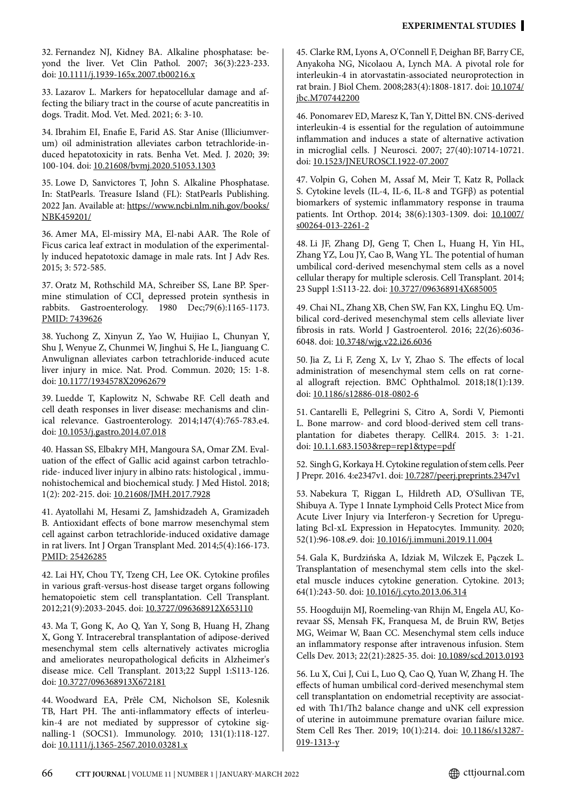32. Fernandez NJ, Kidney BA. Alkaline phosphatase: beyond the liver. Vet Clin Pathol. 2007; 36(3):223-233. doi: [10.1111/j.1939-165x.2007.tb00216.x](http://doi.org/10.1111/j.1939-165x.2007.tb00216.x)

33. Lazarov L. Markers for hepatocellular damage and affecting the biliary tract in the course of acute pancreatitis in dogs. Tradit. Mod. Vet. Med. 2021; 6: 3-10.

34. Ibrahim EI, Enafie E, Farid AS. Star Anise (Illiciumverum) oil administration alleviates carbon tetrachloride-induced hepatotoxicity in rats. Benha Vet. Med. J. 2020; 39: 100-104. doi: [10.21608/bvmj.2020.51053.1303](http://doi.org/10.21608/bvmj.2020.51053.1303)

35. Lowe D, Sanvictores T, John S. Alkaline Phosphatase. In: StatPearls. Treasure Island (FL): StatPearls Publishing. 2022 Jan. Available at: [https://www.ncbi.nlm.nih.gov/books/](https://www.ncbi.nlm.nih.gov/books/NBK459201/) [NBK459201/](https://www.ncbi.nlm.nih.gov/books/NBK459201/)

36. Amer MA, El-missiry MA, El-nabi AAR. The Role of Ficus carica leaf extract in modulation of the experimentally induced hepatotoxic damage in male rats. Int J Adv Res. 2015; 3: 572-585.

37. Oratz M, Rothschild MA, Schreiber SS, Lane BP. Spermine stimulation of CCl<sub>4</sub> depressed protein synthesis in rabbits. Gastroenterology. 1980 Dec;79(6):1165-1173. [PMID: 7439626](https://pubmed.ncbi.nlm.nih.gov/7439626/)

38. Yuchong Z, Xinyun Z, Yao W, Huijiao L, Chunyan Y, Shu J, Wenyue Z, Chunmei W, Jinghui S, He L, Jianguang C. Anwulignan alleviates carbon tetrachloride-induced acute liver injury in mice. Nat. Prod. Commun. 2020; 15: 1-8. doi: [10.1177/1934578X20962679](http://doi.org/10.1177/1934578X20962679)

39. Luedde T, Kaplowitz N, Schwabe RF. Cell death and cell death responses in liver disease: mechanisms and clinical relevance. Gastroenterology. 2014;147(4):765-783.e4. doi: [10.1053/j.gastro.2014.07.018](http://doi.org/10.1053/j.gastro.2014.07.018)

40. Hassan SS, Elbakry MH, Mangoura SA, Omar ZM. Evaluation of the effect of Gallic acid against carbon tetrachloride- induced liver injury in albino rats: histological , immunohistochemical and biochemical study. J Med Histol. 2018; 1(2): 202-215. doi: [10.21608/JMH.2017.7928](http://doi.org/10.21608/JMH.2017.7928)

41. Ayatollahi M, Hesami Z, Jamshidzadeh A, Gramizadeh B. Antioxidant effects of bone marrow mesenchymal stem cell against carbon tetrachloride-induced oxidative damage in rat livers. Int J Organ Transplant Med. 2014;5(4):166-173. [PMID: 25426285](https://pubmed.ncbi.nlm.nih.gov/25426285/)

42. Lai HY, Chou TY, Tzeng CH, Lee OK. Cytokine profiles in various graft-versus-host disease target organs following hematopoietic stem cell transplantation. Cell Transplant. 2012;21(9):2033-2045. doi: [10.3727/096368912X653110](http://doi.org/10.3727/096368912X653110)

43. Ma T, Gong K, Ao Q, Yan Y, Song B, Huang H, Zhang X, Gong Y. Intracerebral transplantation of adipose-derived mesenchymal stem cells alternatively activates microglia and ameliorates neuropathological deficits in Alzheimer's disease mice. Cell Transplant. 2013;22 Suppl 1:S113-126. doi: [10.3727/096368913X672181](http://doi.org/10.3727/096368913X672181)

44. Woodward EA, Prêle CM, Nicholson SE, Kolesnik TB, Hart PH. The anti-inflammatory effects of interleukin-4 are not mediated by suppressor of cytokine signalling-1 (SOCS1). Immunology. 2010; 131(1):118-127. doi: [10.1111/j.1365-2567.2010.03281.x](http://doi.org/10.1111/j.1365-2567.2010.03281.x)

45. Clarke RM, Lyons A, O'Connell F, Deighan BF, Barry CE, Anyakoha NG, Nicolaou A, Lynch MA. A pivotal role for interleukin-4 in atorvastatin-associated neuroprotection in rat brain. J Biol Chem. 2008;283(4):1808-1817. doi: [10.1074/](http://doi.org/10.1074/jbc.M707442200) [jbc.M707442200](http://doi.org/10.1074/jbc.M707442200)

46. Ponomarev ED, Maresz K, Tan Y, Dittel BN. CNS-derived interleukin-4 is essential for the regulation of autoimmune inflammation and induces a state of alternative activation in microglial cells. J Neurosci. 2007; 27(40):10714-10721. doi: [10.1523/JNEUROSCI.1922-07.2007](http://doi.org/10.1523/JNEUROSCI.1922-07.2007)

47. Volpin G, Cohen M, Assaf M, Meir T, Katz R, Pollack S. Cytokine levels (IL-4, IL-6, IL-8 and TGFβ) as potential biomarkers of systemic inflammatory response in trauma patients. Int Orthop. 2014; 38(6):1303-1309. doi: [10.1007/](http://doi.org/10.1007/s00264-013-2261-2) [s00264-013-2261-2](http://doi.org/10.1007/s00264-013-2261-2)

48. Li JF, Zhang DJ, Geng T, Chen L, Huang H, Yin HL, Zhang YZ, Lou JY, Cao B, Wang YL. The potential of human umbilical cord-derived mesenchymal stem cells as a novel cellular therapy for multiple sclerosis. Cell Transplant. 2014; 23 Suppl 1:S113-22. doi: [10.3727/096368914X685005](http://doi.org/10.3727/096368914X685005)

49. Chai NL, Zhang XB, Chen SW, Fan KX, Linghu EQ. Umbilical cord-derived mesenchymal stem cells alleviate liver fibrosis in rats. World J Gastroenterol. 2016; 22(26):6036- 6048. doi: [10.3748/wjg.v22.i26.6036](http://doi.org/10.3748/wjg.v22.i26.6036)

50. Jia Z, Li F, Zeng X, Lv Y, Zhao S. The effects of local administration of mesenchymal stem cells on rat corneal allograft rejection. BMC Ophthalmol. 2018;18(1):139. doi: [10.1186/s12886-018-0802-6](http://doi.org/10.1186/s12886-018-0802-6)

51. Cantarelli E, Pellegrini S, Citro A, Sordi V, Piemonti L. Bone marrow- and cord blood-derived stem cell transplantation for diabetes therapy. CellR4. 2015. 3: 1-21. doi: [10.1.1.683.1503&rep=rep1&type=pdf](https://www.researchgate.net/publication/280316668_Bone_Marrow-_and_Cord_Blood-Derived_Stem_Cell_Transplantation_for_Diabetes)

52. Singh G, Korkaya H. Cytokine regulation of stem cells. Peer J Prepr. 2016. 4:e2347v1. doi: [10.7287/peerj.preprints.2347v1](http://doi.org/10.7287/peerj.preprints.2347v1)

53. Nabekura T, Riggan L, Hildreth AD, O'Sullivan TE, Shibuya A. Type 1 Innate Lymphoid Cells Protect Mice from Acute Liver Injury via Interferon-γ Secretion for Upregulating Bcl-xL Expression in Hepatocytes. Immunity. 2020; 52(1):96-108.e9. doi: [10.1016/j.immuni.2019.11.004](http://doi.org/10.1016/j.immuni.2019.11.004)

54. Gala K, Burdzińska A, Idziak M, Wilczek E, Pączek L. Transplantation of mesenchymal stem cells into the skeletal muscle induces cytokine generation. Cytokine. 2013; 64(1):243-50. doi: [10.1016/j.cyto.2013.06.314](http://doi.org/10.1016/j.cyto.2013.06.314)

55. Hoogduijn MJ, Roemeling-van Rhijn M, Engela AU, Korevaar SS, Mensah FK, Franquesa M, de Bruin RW, Betjes MG, Weimar W, Baan CC. Mesenchymal stem cells induce an inflammatory response after intravenous infusion. Stem Cells Dev. 2013; 22(21):2825-35. doi: [10.1089/scd.2013.0193](http://doi.org/10.1089/scd.2013.0193)

56. Lu X, Cui J, Cui L, Luo Q, Cao Q, Yuan W, Zhang H. The effects of human umbilical cord-derived mesenchymal stem cell transplantation on endometrial receptivity are associated with Th1/Th2 balance change and uNK cell expression of uterine in autoimmune premature ovarian failure mice. Stem Cell Res Ther. 2019; 10(1):214. doi: [10.1186/s13287-](http://doi.org/10.1186/s13287-019-1313-y) [019-1313-y](http://doi.org/10.1186/s13287-019-1313-y)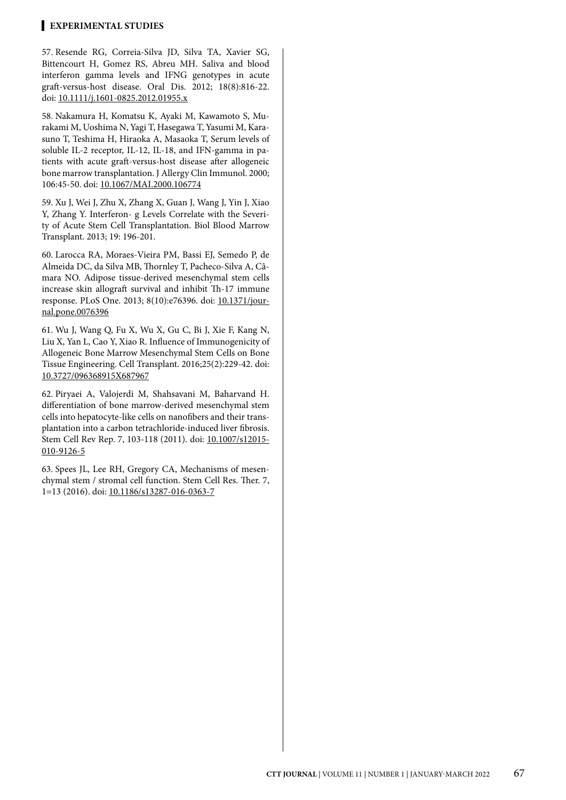57. Resende RG, Correia-Silva JD, Silva TA, Xavier SG, Bittencourt H, Gomez RS, Abreu MH. Saliva and blood interferon gamma levels and IFNG genotypes in acute graft-versus-host disease. Oral Dis. 2012; 18(8):816-22. doi: [10.1111/j.1601-0825.2012.01955.x](http://doi.org/10.1111/j.1601-0825.2012.01955.x)

58. Nakamura H, Komatsu K, Ayaki M, Kawamoto S, Murakami M, Uoshima N, Yagi T, Hasegawa T, Yasumi M, Karasuno T, Teshima H, Hiraoka A, Masaoka T, Serum levels of soluble IL-2 receptor, IL-12, IL-18, and IFN-gamma in patients with acute graft-versus-host disease after allogeneic bone marrow transplantation. J Allergy Clin Immunol. 2000; 106:45-50. doi: [10.1067/MAI.2000.106774](http://doi.org/10.1067/MAI.2000.106774)

59. Xu J, Wei J, Zhu X, Zhang X, Guan J, Wang J, Yin J, Xiao Y, Zhang Y. Interferon- g Levels Correlate with the Severity of Acute Stem Cell Transplantation. Biol Blood Marrow Transplant. 2013; 19: 196-201.

60. Larocca RA, Moraes-Vieira PM, Bassi EJ, Semedo P, de Almeida DC, da Silva MB, Thornley T, Pacheco-Silva A, Câmara NO. Adipose tissue-derived mesenchymal stem cells increase skin allograft survival and inhibit Th-17 immune response. PLoS One. 2013; 8(10):e76396. doi: [10.1371/jour](http://doi.org/10.1371/journal.pone.0076396)[nal.pone.0076396](http://doi.org/10.1371/journal.pone.0076396)

61. Wu J, Wang Q, Fu X, Wu X, Gu C, Bi J, Xie F, Kang N, Liu X, Yan L, Cao Y, Xiao R. Influence of Immunogenicity of Allogeneic Bone Marrow Mesenchymal Stem Cells on Bone Tissue Engineering. Cell Transplant. 2016;25(2):229-42. doi: [10.3727/096368915X687967](http://doi.org/10.3727/096368915X687967)

62. Piryaei A, Valojerdi M, Shahsavani M, Baharvand H. differentiation of bone marrow-derived mesenchymal stem cells into hepatocyte-like cells on nanofibers and their transplantation into a carbon tetrachloride-induced liver fibrosis. Stem Cell Rev Rep. 7, 103-118 (2011). doi: [10.1007/s12015-](http://doi.org/10.1007/s12015-010-9126-5) [010-9126-5](http://doi.org/10.1007/s12015-010-9126-5)

63. Spees JL, Lee RH, Gregory CA, Mechanisms of mesenchymal stem / stromal cell function. Stem Cell Res. Ther. 7, 1=13 (2016). doi: [10.1186/s13287-016-0363-7](http://doi.org/10.1186/s13287-016-0363-7)